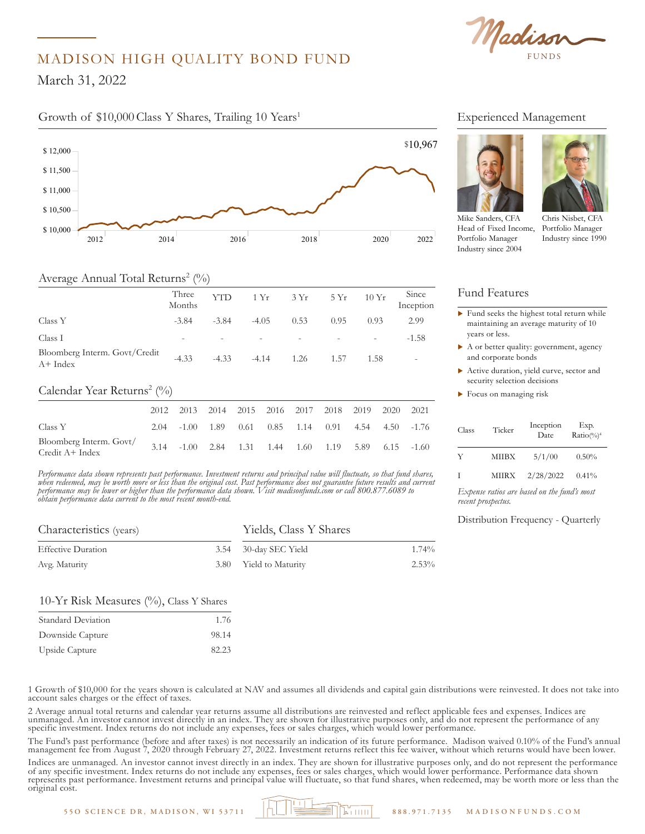

# MADISON HIGH QUALITY BOND FUND

March 31, 2022

### Growth of \$10,000 Class Y Shares, Trailing 10 Years<sup>1</sup> Experienced Management



## Average Annual Total Returns<sup>2</sup> (%)

|                                            | Three<br>Months          | <b>YTD</b> |         | $1 Yr$ $3 Yr$ $5 Yr$     |                          | 10Yr                     | Since<br>Inception |
|--------------------------------------------|--------------------------|------------|---------|--------------------------|--------------------------|--------------------------|--------------------|
| Class Y                                    | $-3.84$                  | $-3.84$    | $-4.05$ | 0.53                     | 0.95                     | 0.93                     | 2.99               |
| Class I                                    | $\overline{\phantom{0}}$ |            |         | $\overline{\phantom{a}}$ | $\overline{\phantom{a}}$ | $\overline{\phantom{a}}$ | $-1.58$            |
| Bloomberg Interm. Govt/Credit<br>$A+Index$ | $-4.33$                  | $-4.33$    | $-4.14$ | 1.26                     | 1.57                     | 1.58                     |                    |

#### Calendar Year Returns<sup>2</sup> (%) \$ 10,750

|                                             | 2012 2013 2014 2015 2016 2017 2018 2019 2020        |  |  |  | 2021 |
|---------------------------------------------|-----------------------------------------------------|--|--|--|------|
| Class Y                                     | 2.04 -1.00 1.89 0.61 0.85 1.14 0.91 4.54 4.50 -1.76 |  |  |  |      |
| Bloomberg Interm. Govt/<br>$Credit A+Index$ | 3.14 -1.00 2.84 1.31 1.44 1.60 1.19 5.89 6.15 -1.60 |  |  |  |      |

*Performance data shown represents past performance. Investment returns and principal value will fluctuate, so that fund shares,*  \$ 13,000 *when redeemed, may be worth more or less than the original cost. Past performance does not guarantee future results and current*  \$ 12,250 *performance may be lower or higher than the performance data shown. Visit madisonfunds.com or call 800.877.6089 to*  \$ 11,500 *obtain performance data current to the most recent month-end.*

Madison Core Bond Y 12,364

| Characteristics (years)   | Yields, Class Y Shares |       |  |  |  |
|---------------------------|------------------------|-------|--|--|--|
| <b>Effective Duration</b> | 3.54 30-day SEC Yield  | 1.74% |  |  |  |
| Avg. Maturity             | 3.80 Yield to Maturity | 2.53% |  |  |  |

### 10-Yr Risk Measures  $(\%)$ , Class Y Shares

| Standard Deviation | 1.76  |
|--------------------|-------|
| Downside Capture   | 98.14 |
| Upside Capture     | 82.23 |

Experienced Management





Mike Sanders, CFA Head of Fixed Income, Portfolio Manager Industry since 2004

Chris Nisbet, CFA Portfolio Manager Manager Industry since 1990

#### Fund Features Fund Features

\$ 13,000

- $\blacktriangleright$  Fund seeks the highest total return while maintaining an average maturity of 10 years or less. **11,500**
- $\blacktriangleright$  A or better quality: government, agency and corporate bonds
- $\blacktriangleright$  Active duration, yield curve, sector and security selection decisions
	- $\blacktriangleright$  Focus on managing risk

*Expense ratios are based on the fund's most recent prospectus.*

#### Distribution Frequency - Quarterly

1 Growth of \$10,000 for the years shown is calculated at NAV and assumes all dividends and capital gain distributions were reinvested. It does not take into account sales charges or the effect of taxes.

2 Average annual total returns and calendar year returns assume all distributions are reinvested and reflect applicable fees and expenses. Indices are unmanaged. An investor cannot invest directly in an index. They are shown for illustrative purposes only, and do not represent the performance of any specific investment. Index returns do not include any expenses, fees or sales charges, which would lower performance.

The Fund's past performance (before and after taxes) is not necessarily an indication of its future performance. Madison waived 0.10% of the Fund's annual The Fund's past performance (before and after taxes) is not necessarily an indication of its future performance. Madison waived 0.10% of the Fund's annua<br>management fee from August 7, 2020 through February 27, 2022. Invest

Indices are unmanaged. An investor cannot invest directly in an index. They are shown for illustrative purposes only, and do not represent the performance of any specific investment. Index returns do not include any expenses, fees or sales charges, which would lower performance. Performance data shown represents past performance. Investment returns and principal value will fluctuate, so that fund shares, when redeemed, may be worth more or less than the original cost.